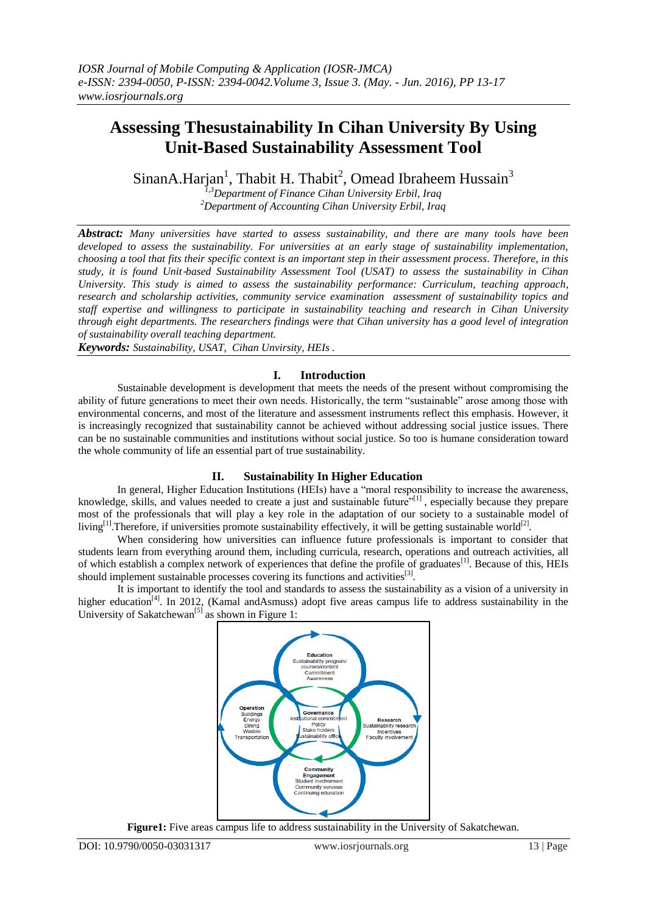# **Assessing Thesustainability In Cihan University By Using Unit**‐**Based Sustainability Assessment Tool**

SinanA.Harjan<sup>1</sup>, Thabit H. Thabit<sup>2</sup>, Omead Ibraheem Hussain<sup>3</sup>

*1,3Department of Finance Cihan University Erbil, Iraq <sup>2</sup>Department of Accounting Cihan University Erbil, Iraq*

*Abstract: Many universities have started to assess sustainability, and there are many tools have been developed to assess the sustainability. For universities at an early stage of sustainability implementation, choosing a tool that fits their specific context is an important step in their assessment process. Therefore, in this study, it is found Unit*‐*based Sustainability Assessment Tool (USAT) to assess the sustainability in Cihan University. This study is aimed to assess the sustainability performance: Curriculum, teaching approach, research and scholarship activities, community service examination assessment of sustainability topics and staff expertise and willingness to participate in sustainability teaching and research in Cihan University through eight departments. The researchers findings were that Cihan university has a good level of integration of sustainability overall teaching department.* 

*Keywords: Sustainability, USAT, Cihan Unvirsity, HEIs .*

## **I. Introduction**

Sustainable development is development that meets the needs of the present without compromising the ability of future generations to meet their own needs. Historically, the term "sustainable" arose among those with environmental concerns, and most of the literature and assessment instruments reflect this emphasis. However, it is increasingly recognized that sustainability cannot be achieved without addressing social justice issues. There can be no sustainable communities and institutions without social justice. So too is humane consideration toward the whole community of life an essential part of true sustainability.

## **II. Sustainability In Higher Education**

In general, Higher Education Institutions (HEIs) have a "moral responsibility to increase the awareness, knowledge, skills, and values needed to create a just and sustainable future"<sup>[1]</sup>, especially because they prepare most of the professionals that will play a key role in the adaptation of our society to a sustainable model of living<sup>[1]</sup>. Therefore, if universities promote sustainability effectively, it will be getting sustainable world<sup>[2]</sup>.

When considering how universities can influence future professionals is important to consider that students learn from everything around them, including curricula, research, operations and outreach activities, all of which establish a complex network of experiences that define the profile of graduates<sup>[1]</sup>. Because of this, HEIs should implement sustainable processes covering its functions and activities<sup>[3]</sup>.

It is important to identify the tool and standards to assess the sustainability as a vision of a university in higher education<sup>[4]</sup>. In 2012, (Kamal andAsmuss) adopt five areas campus life to address sustainability in the University of Sakatchewan<sup>[5]</sup> as shown in Figure 1:



**Figure1:** Five areas campus life to address sustainability in the University of Sakatchewan.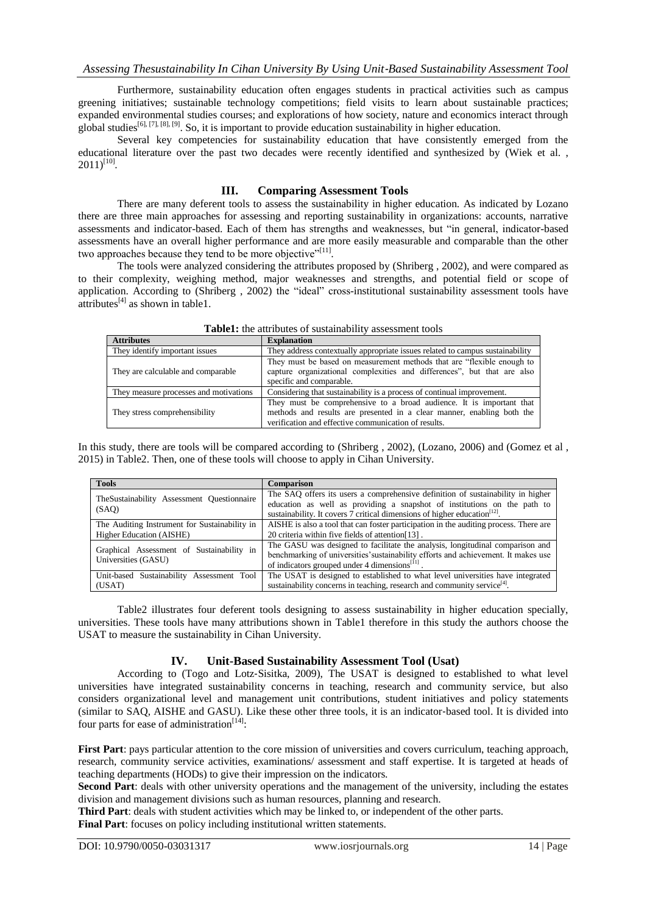Furthermore, sustainability education often engages students in practical activities such as campus greening initiatives; sustainable technology competitions; field visits to learn about sustainable practices; expanded environmental studies courses; and explorations of how society, nature and economics interact through global studies<sup>[6], [7], [8], [9]</sup>. So, it is important to provide education sustainability in higher education.

Several key competencies for sustainability education that have consistently emerged from the educational literature over the past two decades were recently identified and synthesized by (Wiek et al. ,  $2011)^{[10]}$ .

#### **III. Comparing Assessment Tools**

There are many deferent tools to assess the sustainability in higher education. As indicated by Lozano there are three main approaches for assessing and reporting sustainability in organizations: accounts, narrative assessments and indicator-based. Each of them has strengths and weaknesses, but "in general, indicator-based assessments have an overall higher performance and are more easily measurable and comparable than the other two approaches because they tend to be more objective"<sup>[11]</sup>.

The tools were analyzed considering the attributes proposed by (Shriberg , 2002), and were compared as to their complexity, weighing method, major weaknesses and strengths, and potential field or scope of application. According to (Shriberg , 2002) the "ideal" cross-institutional sustainability assessment tools have attributes<sup>[4]</sup> as shown in table1.

| <b>Attributes</b>                      | <b>Explanation</b>                                                                                                                                                                                     |
|----------------------------------------|--------------------------------------------------------------------------------------------------------------------------------------------------------------------------------------------------------|
| They identify important issues         | They address contextually appropriate issues related to campus sustainability                                                                                                                          |
| They are calculable and comparable     | They must be based on measurement methods that are "flexible enough to<br>capture organizational complexities and differences", but that are also<br>specific and comparable.                          |
| They measure processes and motivations | Considering that sustainability is a process of continual improvement.                                                                                                                                 |
| They stress comprehensibility          | They must be comprehensive to a broad audience. It is important that<br>methods and results are presented in a clear manner, enabling both the<br>verification and effective communication of results. |

**Table1:** the attributes of sustainability assessment tools

In this study, there are tools will be compared according to (Shriberg , 2002), (Lozano, 2006) and (Gomez et al , 2015) in Table2. Then, one of these tools will choose to apply in Cihan University.

| <b>Tools</b>                                                     | <b>Comparison</b>                                                                                                                                                                                                                 |
|------------------------------------------------------------------|-----------------------------------------------------------------------------------------------------------------------------------------------------------------------------------------------------------------------------------|
| TheSustainability Assessment Questionnaire<br>(SAO)              | The SAO offers its users a comprehensive definition of sustainability in higher<br>education as well as providing a snapshot of institutions on the path to                                                                       |
| The Auditing Instrument for Sustainability in                    | sustainability. It covers 7 critical dimensions of higher education $[12]$ .<br>AISHE is also a tool that can foster participation in the auditing process. There are                                                             |
| Higher Education (AISHE)                                         | 20 criteria within five fields of attention[13].                                                                                                                                                                                  |
| Graphical Assessment of Sustainability in<br>Universities (GASU) | The GASU was designed to facilitate the analysis, longitudinal comparison and<br>benchmarking of universities' sustainability efforts and achievement. It makes use<br>of indicators grouped under 4 dimensions <sup>[11]</sup> . |
| Unit-based Sustainability Assessment Tool                        | The USAT is designed to established to what level universities have integrated                                                                                                                                                    |
| (USAT)                                                           | sustainability concerns in teaching, research and community service <sup>[4]</sup> .                                                                                                                                              |

Table2 illustrates four deferent tools designing to assess sustainability in higher education specially, universities. These tools have many attributions shown in Table1 therefore in this study the authors choose the USAT to measure the sustainability in Cihan University.

## **IV. Unit-Based Sustainability Assessment Tool (Usat)**

According to (Togo and Lotz‐Sisitka, 2009), The USAT is designed to established to what level universities have integrated sustainability concerns in teaching, research and community service, but also considers organizational level and management unit contributions, student initiatives and policy statements (similar to SAQ, AISHE and GASU). Like these other three tools, it is an indicator‐based tool. It is divided into four parts for ease of administration<sup>[14]</sup>:

**First Part**: pays particular attention to the core mission of universities and covers curriculum, teaching approach, research, community service activities, examinations/ assessment and staff expertise. It is targeted at heads of teaching departments (HODs) to give their impression on the indicators.

**Second Part**: deals with other university operations and the management of the university, including the estates division and management divisions such as human resources, planning and research.

**Third Part**: deals with student activities which may be linked to, or independent of the other parts.

**Final Part**: focuses on policy including institutional written statements.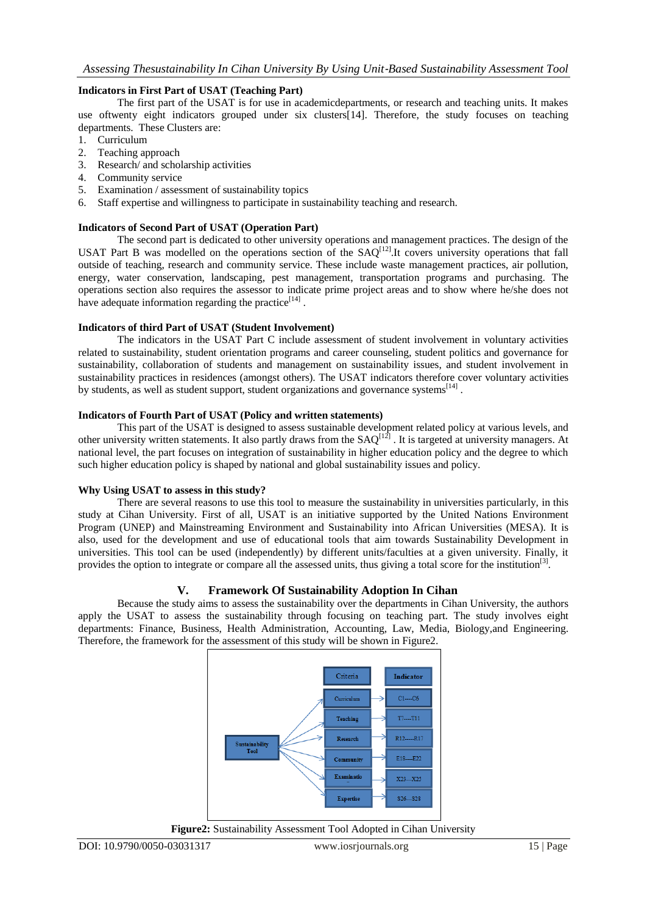### **Indicators in First Part of USAT (Teaching Part)**

The first part of the USAT is for use in academicdepartments, or research and teaching units. It makes use oftwenty eight indicators grouped under six clusters[14]. Therefore, the study focuses on teaching departments. These Clusters are:

- 1. Curriculum
- 2. Teaching approach
- 3. Research/ and scholarship activities
- 4. Community service
- 5. Examination / assessment of sustainability topics
- 6. Staff expertise and willingness to participate in sustainability teaching and research.

### **Indicators of Second Part of USAT (Operation Part)**

The second part is dedicated to other university operations and management practices. The design of the USAT Part B was modelled on the operations section of the  $SAQ^{[12]}$ . It covers university operations that fall outside of teaching, research and community service. These include waste management practices, air pollution, energy, water conservation, landscaping, pest management, transportation programs and purchasing. The operations section also requires the assessor to indicate prime project areas and to show where he/she does not have adequate information regarding the practice $^{[14]}$ .

#### **Indicators of third Part of USAT (Student Involvement)**

The indicators in the USAT Part C include assessment of student involvement in voluntary activities related to sustainability, student orientation programs and career counseling, student politics and governance for sustainability, collaboration of students and management on sustainability issues, and student involvement in sustainability practices in residences (amongst others). The USAT indicators therefore cover voluntary activities by students, as well as student support, student organizations and governance systems<sup>[14]</sup>.

### **Indicators of Fourth Part of USAT (Policy and written statements)**

This part of the USAT is designed to assess sustainable development related policy at various levels, and other university written statements. It also partly draws from the  $SAQ^{[12]}$ . It is targeted at university managers. At national level, the part focuses on integration of sustainability in higher education policy and the degree to which such higher education policy is shaped by national and global sustainability issues and policy.

#### **Why Using USAT to assess in this study?**

There are several reasons to use this tool to measure the sustainability in universities particularly, in this study at Cihan University. First of all, USAT is an initiative supported by the United Nations Environment Program (UNEP) and Mainstreaming Environment and Sustainability into African Universities (MESA). It is also, used for the development and use of educational tools that aim towards Sustainability Development in universities. This tool can be used (independently) by different units/faculties at a given university. Finally, it provides the option to integrate or compare all the assessed units, thus giving a total score for the institution<sup>[3]</sup>.

## **V. Framework Of Sustainability Adoption In Cihan**

Because the study aims to assess the sustainability over the departments in Cihan University, the authors apply the USAT to assess the sustainability through focusing on teaching part. The study involves eight departments: Finance, Business, Health Administration, Accounting, Law, Media, Biology,and Engineering. Therefore, the framework for the assessment of this study will be shown in Figure2.



**Figure2:** Sustainability Assessment Tool Adopted in Cihan University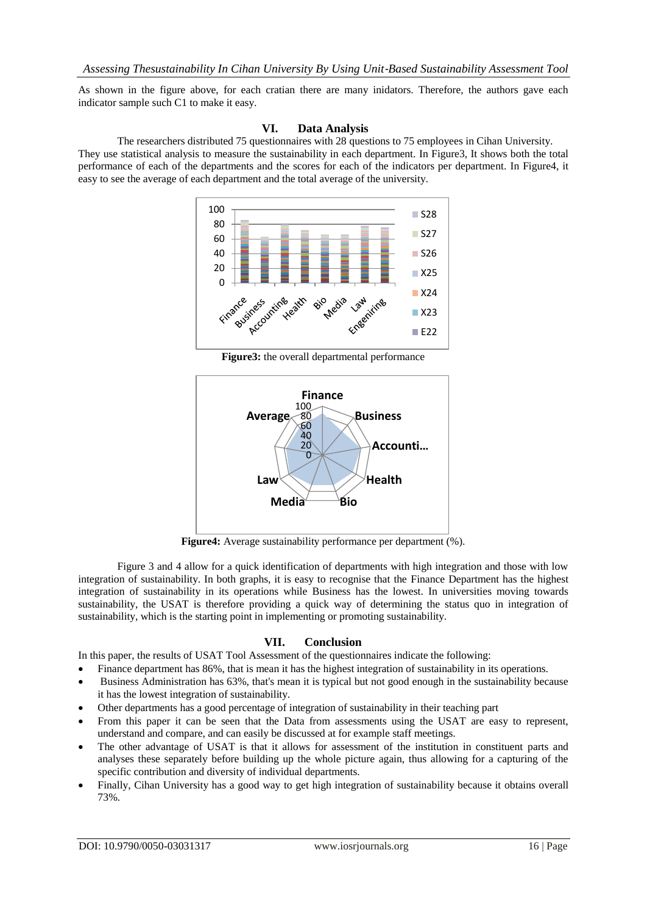As shown in the figure above, for each cratian there are many inidators. Therefore, the authors gave each indicator sample such C1 to make it easy.

#### **VI. Data Analysis**

The researchers distributed 75 questionnaires with 28 questions to 75 employees in Cihan University. They use statistical analysis to measure the sustainability in each department. In Figure3, It shows both the total performance of each of the departments and the scores for each of the indicators per department. In Figure4, it easy to see the average of each department and the total average of the university.



**Figure3:** the overall departmental performance



**Figure4:** Average sustainability performance per department (%).

Figure 3 and 4 allow for a quick identification of departments with high integration and those with low integration of sustainability. In both graphs, it is easy to recognise that the Finance Department has the highest integration of sustainability in its operations while Business has the lowest. In universities moving towards sustainability, the USAT is therefore providing a quick way of determining the status quo in integration of sustainability, which is the starting point in implementing or promoting sustainability.

#### **VII. Conclusion**

In this paper, the results of USAT Tool Assessment of the questionnaires indicate the following:

- Finance department has 86%, that is mean it has the highest integration of sustainability in its operations.
- Business Administration has 63%, that's mean it is typical but not good enough in the sustainability because it has the lowest integration of sustainability.
- Other departments has a good percentage of integration of sustainability in their teaching part
- From this paper it can be seen that the Data from assessments using the USAT are easy to represent, understand and compare, and can easily be discussed at for example staff meetings.
- The other advantage of USAT is that it allows for assessment of the institution in constituent parts and analyses these separately before building up the whole picture again, thus allowing for a capturing of the specific contribution and diversity of individual departments.
- Finally, Cihan University has a good way to get high integration of sustainability because it obtains overall 73%.